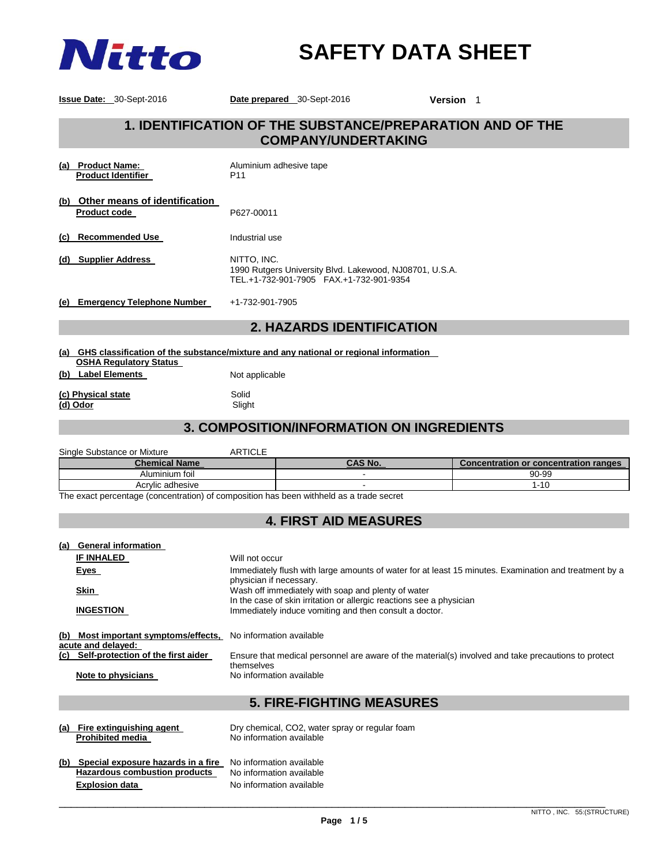

# **SAFETY DATA SHEET**

**Issue Date:** 30-Sept-2016 **Date prepared** 30-Sept-2016 **Version** 1

# **1. IDENTIFICATION OF THE SUBSTANCE/PREPARATION AND OF THE COMPANY/UNDERTAKING**

| <b>Product Name:</b><br>(a)<br><b>Product Identifier</b>    | Aluminium adhesive tape<br>P <sub>11</sub>                                                                        |
|-------------------------------------------------------------|-------------------------------------------------------------------------------------------------------------------|
| Other means of identification<br>(b)<br><b>Product code</b> | P627-00011                                                                                                        |
| <b>Recommended Use</b><br>(C)                               | Industrial use                                                                                                    |
| <b>Supplier Address</b><br>(d)                              | NITTO. INC.<br>1990 Rutgers University Blvd. Lakewood, NJ08701, U.S.A.<br>TEL.+1-732-901-7905 FAX.+1-732-901-9354 |
| <b>Emergency Telephone Number</b><br>(e)                    | +1-732-901-7905                                                                                                   |

# **2. HAZARDS IDENTIFICATION**

- **(a) GHS classification of the substance/mixture and any national or regional information OSHA Regulatory Status**
- **(b)** Label Elements Not applicable

**(c) Physical state** Solid **(d) Odor**<br> **Slight** Slight **(d)** Odor

# **3. COMPOSITION/INFORMATION ON INGREDIENTS**

| Single Substance or Mixture | <b>ARTICLE</b> |                |                                              |
|-----------------------------|----------------|----------------|----------------------------------------------|
| <b>Chemical Name</b>        |                | <b>CAS No.</b> | <b>Concentration or concentration ranges</b> |
| Aluminium foil              |                |                | $90 - 99$                                    |
| Acrylic adhesive            |                |                | 1-10                                         |

The exact percentage (concentration) of composition has been withheld as a trade secret

# **4. FIRST AID MEASURES**

| (a) | <b>General information</b>                                 |                                                                                                                                  |  |  |
|-----|------------------------------------------------------------|----------------------------------------------------------------------------------------------------------------------------------|--|--|
|     | <b>IF INHALED</b>                                          | Will not occur                                                                                                                   |  |  |
|     | Eyes                                                       | Immediately flush with large amounts of water for at least 15 minutes. Examination and treatment by a<br>physician if necessary. |  |  |
|     | Skin                                                       | Wash off immediately with soap and plenty of water                                                                               |  |  |
|     |                                                            | In the case of skin irritation or allergic reactions see a physician                                                             |  |  |
|     | <b>INGESTION</b>                                           | Immediately induce vomiting and then consult a doctor.                                                                           |  |  |
|     | (b) Most important symptoms/effects,<br>acute and delayed: | No information available                                                                                                         |  |  |
|     | (c) Self-protection of the first aider                     | Ensure that medical personnel are aware of the material(s) involved and take precautions to protect                              |  |  |
|     |                                                            | themselves                                                                                                                       |  |  |
|     | Note to physicians                                         | No information available                                                                                                         |  |  |
|     |                                                            |                                                                                                                                  |  |  |
|     | <b>5. FIRE-FIGHTING MEASURES</b>                           |                                                                                                                                  |  |  |
|     |                                                            |                                                                                                                                  |  |  |

**(a) Fire extinguishing agent** Dry chemical, CO2, water spray or regular foam<br> **Prohibited media No** information available **No information available** (b) Special exposure hazards in a fire No information available Hazardous combustion products No information available **Explosion data No information available**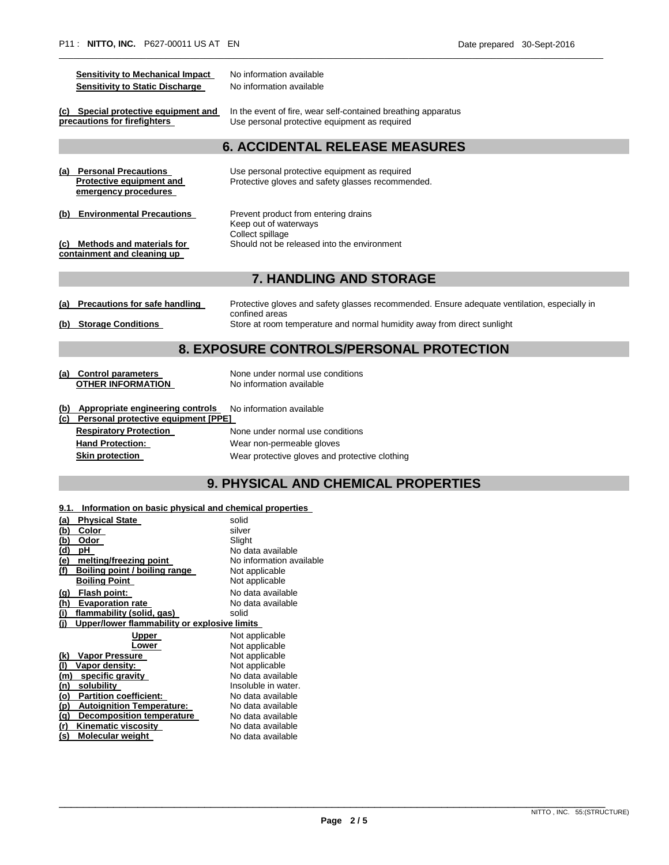| <b>Sensitivity to Mechanical Impact</b><br><b>Sensitivity to Static Discharge</b> | No information available<br>No information available                                                                                                                                      |  |  |
|-----------------------------------------------------------------------------------|-------------------------------------------------------------------------------------------------------------------------------------------------------------------------------------------|--|--|
| (c) Special protective equipment and<br>precautions for firefighters              | In the event of fire, wear self-contained breathing apparatus<br>Use personal protective equipment as required                                                                            |  |  |
|                                                                                   | <b>6. ACCIDENTAL RELEASE MEASURES</b>                                                                                                                                                     |  |  |
| (a) Personal Precautions<br>Protective equipment and<br>emergency procedures      | Use personal protective equipment as required<br>Protective gloves and safety glasses recommended.                                                                                        |  |  |
| <b>Environmental Precautions</b><br>(b)                                           | Prevent product from entering drains<br>Keep out of waterways<br>Collect spillage                                                                                                         |  |  |
| (c) Methods and materials for<br>containment and cleaning up                      | Should not be released into the environment                                                                                                                                               |  |  |
| <b>7. HANDLING AND STORAGE</b>                                                    |                                                                                                                                                                                           |  |  |
| <b>Precautions for safe handling</b><br>(b) Storage Conditions                    | Protective gloves and safety glasses recommended. Ensure adequate ventilation, especially in<br>confined areas<br>Store at room temperature and normal humidity away from direct sunlight |  |  |
| 8. EXPOSURE CONTROLS/PERSONAL PROTECTION                                          |                                                                                                                                                                                           |  |  |
| (a) Control parameters<br><b>OTHER INFORMATION</b>                                | None under normal use conditions<br>No information available                                                                                                                              |  |  |
| (b) Appropriate engineering controls<br>(c) Personal protective equipment [PPE]   | No information available                                                                                                                                                                  |  |  |
| <b>Respiratory Protection</b>                                                     | None under normal use conditions                                                                                                                                                          |  |  |
| <b>Hand Protection:</b>                                                           | Wear non-permeable gloves                                                                                                                                                                 |  |  |
| <b>Skin protection</b>                                                            | Wear protective gloves and protective clothing                                                                                                                                            |  |  |

\_\_\_\_\_\_\_\_\_\_\_\_\_\_\_\_\_\_\_\_\_\_\_\_\_\_\_\_\_\_\_\_\_\_\_\_\_\_\_\_\_\_\_\_\_\_\_\_\_\_\_\_\_\_\_\_\_\_\_\_\_\_\_\_\_\_\_\_\_\_\_\_\_\_\_\_\_\_\_\_\_\_\_\_\_\_\_\_\_\_\_\_\_\_\_\_\_\_\_\_\_\_\_\_\_\_\_\_\_\_\_\_

# **9. PHYSICAL AND CHEMICAL PROPERTIES**

### **9.1. Information on basic physical and chemical properties**

| <b>Physical State</b><br>(a)                        | solid                    |
|-----------------------------------------------------|--------------------------|
| <u>(b)</u><br>Color                                 | silver                   |
| (b)<br>Odor                                         | Slight                   |
| (d)<br>рH                                           | No data available        |
| (e)<br>melting/freezing point                       | No information available |
| (f)<br>Boiling point / boiling range                | Not applicable           |
| <b>Boiling Point</b>                                | Not applicable           |
| Flash point:<br><u>(a)</u>                          | No data available        |
| (h)<br><b>Evaporation rate</b>                      | No data available        |
| (i)<br>flammability (solid, gas)                    | solid                    |
| Upper/lower flammability or explosive limits<br>(i) |                          |
| Upper                                               | Not applicable           |
|                                                     |                          |
| Lower                                               | Not applicable           |
| Vapor Pressure<br>(k)                               | Not applicable           |
| (1)<br>Vapor density:                               | Not applicable           |
| specific gravity<br>(m)                             | No data available        |
| (n)<br>solubility                                   | Insoluble in water.      |
| <b>Partition coefficient:</b><br><u>(o)</u>         | No data available        |
| <u>(p)</u><br><b>Autoignition Temperature:</b>      | No data available        |
| (q)<br><b>Decomposition temperature</b>             | No data available        |
| (r)<br>Kinematic viscosity                          | No data available        |

\_\_\_\_\_\_\_\_\_\_\_\_\_\_\_\_\_\_\_\_\_\_\_\_\_\_\_\_\_\_\_\_\_\_\_\_\_\_\_\_\_\_\_\_\_\_\_\_\_\_\_\_\_\_\_\_\_\_\_\_\_\_\_\_\_\_\_\_\_\_\_\_\_\_\_\_\_\_\_\_\_\_\_\_\_\_\_\_\_\_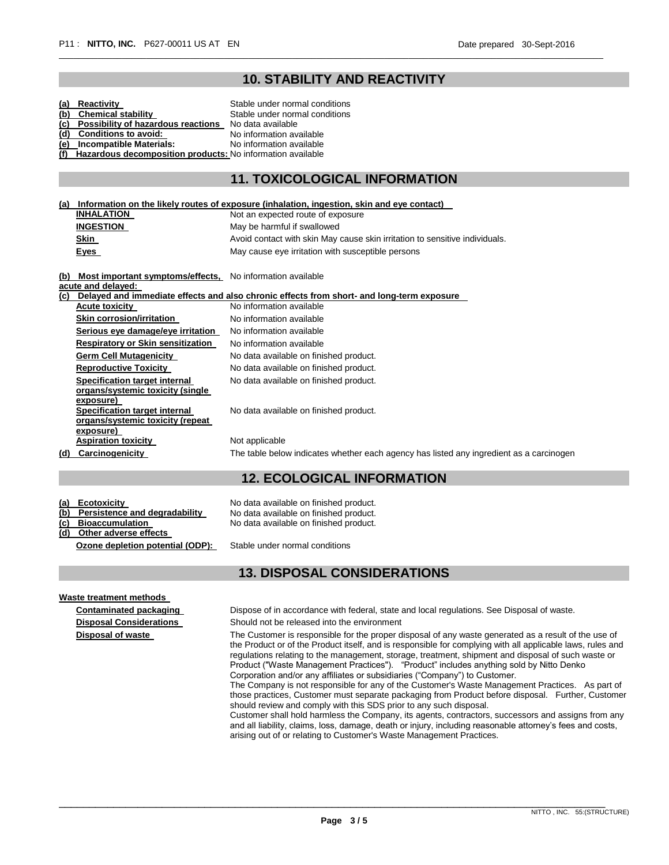# **10. STABILITY AND REACTIVITY**

\_\_\_\_\_\_\_\_\_\_\_\_\_\_\_\_\_\_\_\_\_\_\_\_\_\_\_\_\_\_\_\_\_\_\_\_\_\_\_\_\_\_\_\_\_\_\_\_\_\_\_\_\_\_\_\_\_\_\_\_\_\_\_\_\_\_\_\_\_\_\_\_\_\_\_\_\_\_\_\_\_\_\_\_\_\_\_\_\_\_\_\_\_\_\_\_\_\_\_\_\_\_\_\_\_\_\_\_\_\_\_\_

| (b)<br>(c)<br>(d)<br>(f) | (a) Reactivity<br><b>Chemical stability</b><br>Possibility of hazardous reactions No data available<br><b>Conditions to avoid:</b><br>(e) Incompatible Materials:<br>Hazardous decomposition products: No information available | Stable under normal conditions<br>Stable under normal conditions<br>No information available<br>No information available |
|--------------------------|---------------------------------------------------------------------------------------------------------------------------------------------------------------------------------------------------------------------------------|--------------------------------------------------------------------------------------------------------------------------|
|                          |                                                                                                                                                                                                                                 | <b>11. TOXICOLOGICAL INFORMATION</b>                                                                                     |
| (a)                      |                                                                                                                                                                                                                                 | Information on the likely routes of exposure (inhalation, ingestion, skin and eye contact)                               |
|                          | <b>INHALATION</b>                                                                                                                                                                                                               | Not an expected route of exposure                                                                                        |
|                          | <b>INGESTION</b>                                                                                                                                                                                                                | May be harmful if swallowed                                                                                              |
|                          | Skin                                                                                                                                                                                                                            | Avoid contact with skin May cause skin irritation to sensitive individuals.                                              |
|                          | Eyes                                                                                                                                                                                                                            | May cause eye irritation with susceptible persons                                                                        |
|                          | (b) Most important symptoms/effects, No information available<br>acute and delayed:                                                                                                                                             |                                                                                                                          |
|                          |                                                                                                                                                                                                                                 | (c) Delayed and immediate effects and also chronic effects from short- and long-term exposure                            |
|                          | <b>Acute toxicity</b>                                                                                                                                                                                                           | No information available                                                                                                 |
|                          | <b>Skin corrosion/irritation</b>                                                                                                                                                                                                | No information available                                                                                                 |
|                          | Serious eye damage/eye irritation                                                                                                                                                                                               | No information available                                                                                                 |
|                          | <b>Respiratory or Skin sensitization</b>                                                                                                                                                                                        | No information available                                                                                                 |
|                          | <b>Germ Cell Mutagenicity</b>                                                                                                                                                                                                   | No data available on finished product.                                                                                   |
|                          | <b>Reproductive Toxicity</b>                                                                                                                                                                                                    | No data available on finished product.                                                                                   |
|                          | Specification target internal                                                                                                                                                                                                   | No data available on finished product.                                                                                   |
|                          | organs/systemic toxicity (single                                                                                                                                                                                                |                                                                                                                          |
|                          | exposure)<br>Specification target internal                                                                                                                                                                                      | No data available on finished product.                                                                                   |
|                          | organs/systemic toxicity (repeat                                                                                                                                                                                                |                                                                                                                          |
|                          | exposure)                                                                                                                                                                                                                       |                                                                                                                          |
|                          | <b>Aspiration toxicity</b>                                                                                                                                                                                                      | Not applicable                                                                                                           |
|                          | (d) Carcinogenicity                                                                                                                                                                                                             | The table below indicates whether each agency has listed any ingredient as a carcinogen                                  |
|                          |                                                                                                                                                                                                                                 | <b>12. ECOLOGICAL INFORMATION</b>                                                                                        |

| (a) Ecotoxicity                   | No data available on finished product. |
|-----------------------------------|----------------------------------------|
| (b) Persistence and degradability | No data available on finished product. |
| (c) Bioaccumulation               | No data available on finished product. |
| (d) Other adverse effects         |                                        |
|                                   |                                        |

**Ozone depletion potential (ODP):** Stable under normal conditions

# **13. DISPOSAL CONSIDERATIONS**

**Waste treatment methods** 

**Contaminated packaging** Dispose of in accordance with federal, state and local regulations. See Disposal of waste.

**Disposal Considerations** Should not be released into the environment

**Disposal of waste** The Customer is responsible for the proper disposal of any waste generated as a result of the use of the Product or of the Product itself, and is responsible for complying with all applicable laws, rules and regulations relating to the management, storage, treatment, shipment and disposal of such waste or Product ("Waste Management Practices"). "Product" includes anything sold by Nitto Denko Corporation and/or any affiliates or subsidiaries ("Company") to Customer.

The Company is not responsible for any of the Customer's Waste Management Practices. As part of those practices, Customer must separate packaging from Product before disposal. Further, Customer should review and comply with this SDS prior to any such disposal.

Customer shall hold harmless the Company, its agents, contractors, successors and assigns from any and all liability, claims, loss, damage, death or injury, including reasonable attorney's fees and costs, arising out of or relating to Customer's Waste Management Practices.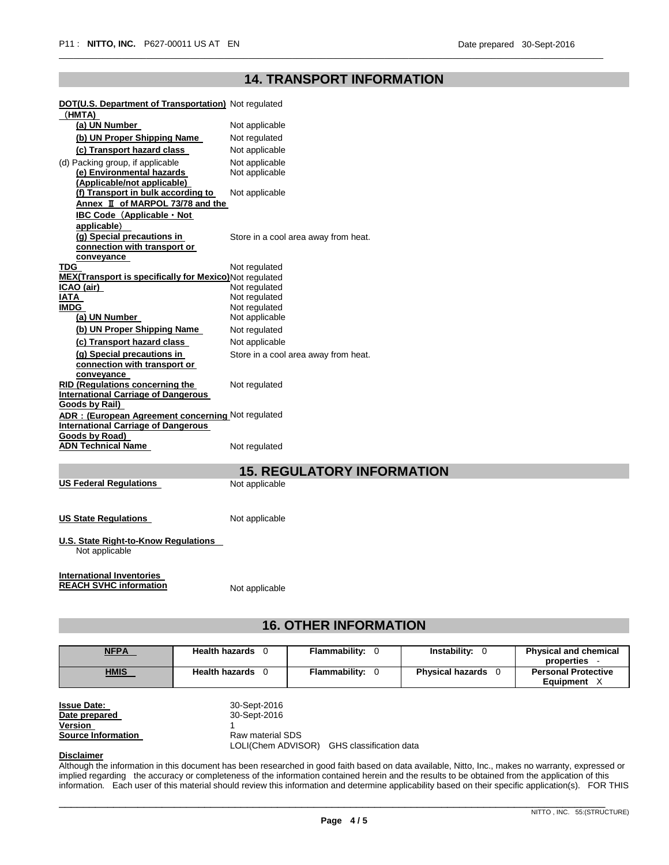# **14. TRANSPORT INFORMATION**

\_\_\_\_\_\_\_\_\_\_\_\_\_\_\_\_\_\_\_\_\_\_\_\_\_\_\_\_\_\_\_\_\_\_\_\_\_\_\_\_\_\_\_\_\_\_\_\_\_\_\_\_\_\_\_\_\_\_\_\_\_\_\_\_\_\_\_\_\_\_\_\_\_\_\_\_\_\_\_\_\_\_\_\_\_\_\_\_\_\_\_\_\_\_\_\_\_\_\_\_\_\_\_\_\_\_\_\_\_\_\_\_

| <b>DOT(U.S. Department of Transportation)</b> Not regulated          |                                      |
|----------------------------------------------------------------------|--------------------------------------|
| (HMTA)                                                               |                                      |
| (a) UN Number                                                        | Not applicable                       |
| (b) UN Proper Shipping Name                                          | Not regulated                        |
| (c) Transport hazard class                                           | Not applicable                       |
| (d) Packing group, if applicable                                     | Not applicable                       |
| (e) Environmental hazards                                            | Not applicable                       |
| (Applicable/not applicable)                                          |                                      |
| (f) Transport in bulk according to                                   | Not applicable                       |
| Annex II of MARPOL 73/78 and the                                     |                                      |
| <b>IBC Code (Applicable · Not</b>                                    |                                      |
| applicable)                                                          |                                      |
| (g) Special precautions in                                           | Store in a cool area away from heat. |
| connection with transport or                                         |                                      |
| conveyance                                                           |                                      |
| <b>TDG</b>                                                           | Not regulated                        |
| MEX(Transport is specifically for Mexico)Not regulated<br>ICAO (air) | Not regulated                        |
| IATA                                                                 | Not regulated                        |
| <b>IMDG</b>                                                          | Not regulated                        |
| (a) UN Number                                                        | Not applicable                       |
| (b) UN Proper Shipping Name                                          | Not regulated                        |
| (c) Transport hazard class                                           | Not applicable                       |
| (g) Special precautions in                                           | Store in a cool area away from heat. |
| connection with transport or                                         |                                      |
| conveyance                                                           |                                      |
| <b>RID (Regulations concerning the</b>                               | Not regulated                        |
| <b>International Carriage of Dangerous</b>                           |                                      |
| <b>Goods by Rail)</b>                                                |                                      |
| ADR: (European Agreement concerning Not regulated                    |                                      |
| <b>International Carriage of Dangerous</b>                           |                                      |
| Goods by Road)                                                       |                                      |
| <b>ADN Technical Name</b>                                            | Not regulated                        |
|                                                                      |                                      |
|                                                                      | <b>15. REGULATORY INFORMATION</b>    |
| <b>US Federal Regulations</b>                                        | Not applicable                       |
|                                                                      |                                      |
|                                                                      |                                      |
| <b>US State Regulations</b>                                          | Not applicable                       |
|                                                                      |                                      |
| U.S. State Right-to-Know Regulations                                 |                                      |

Not applicable

**International Inventories REACH SVHC information** Not applicable

# **16. OTHER INFORMATION**

| <b>NFPA</b>               | Health hazards 0 | <b>Flammability: 0</b> | <b>Instability: 0</b>          | <b>Physical and chemical</b> |
|---------------------------|------------------|------------------------|--------------------------------|------------------------------|
|                           |                  |                        |                                | properties -                 |
| <b>HMIS</b>               | Health hazards 0 | <b>Flammability: 0</b> | <b>Physical hazards</b><br>- 0 | <b>Personal Protective</b>   |
|                           |                  |                        |                                | Equipment X                  |
|                           |                  |                        |                                |                              |
| <b>Issue Date:</b>        | 30-Sept-2016     |                        |                                |                              |
| Date prepared             | 30-Sept-2016     |                        |                                |                              |
| Version                   |                  |                        |                                |                              |
| <b>Source Information</b> | Raw material SDS |                        |                                |                              |

LOLI(Chem ADVISOR) GHS classification data

#### **Disclaimer**

Although the information in this document has been researched in good faith based on data available, Nitto, Inc., makes no warranty, expressed or implied regarding the accuracy or completeness of the information contained herein and the results to be obtained from the application of this information. Each user of this material should review this information and determine applicability based on their specific application(s). FOR THIS